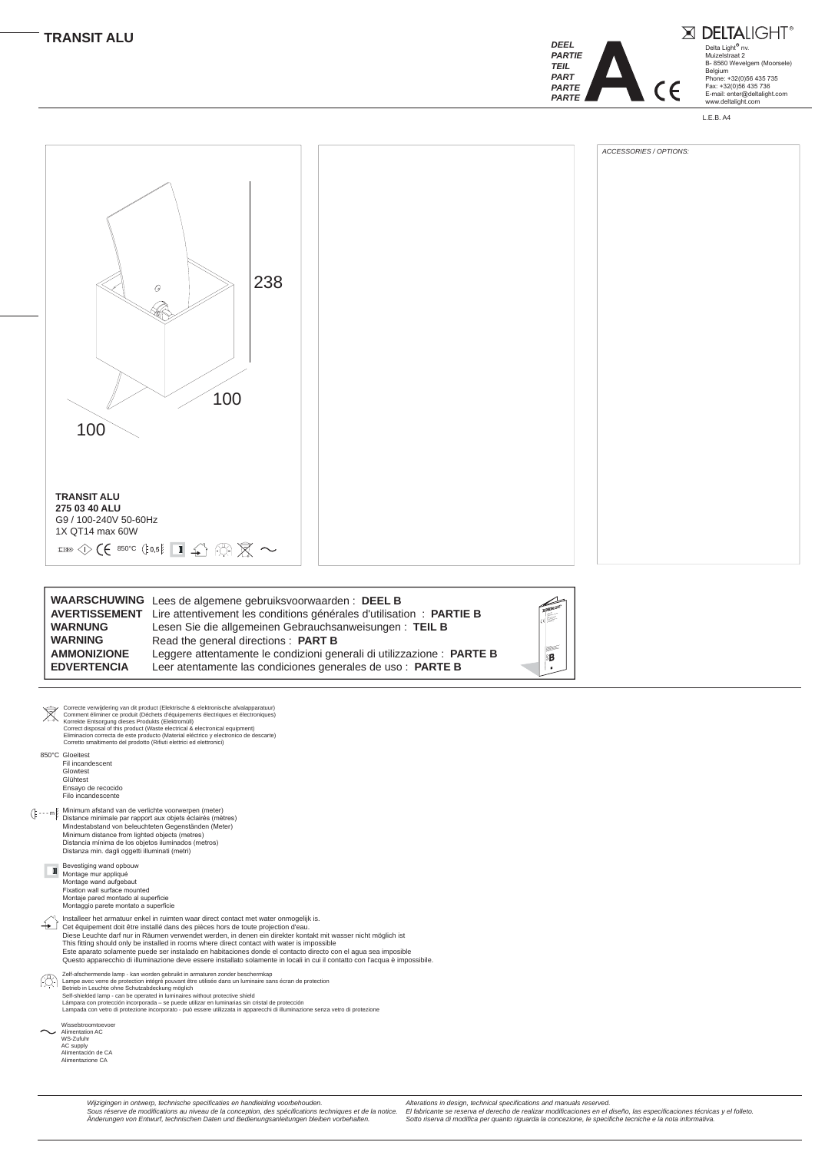*Wijzigingen in ontwerp, technische specificaties en handleiding voorbehouden. Sous réserve de modifications au niveau de la conception, des spécifications techniques et de la notice. Änderungen von Entwurf, technischen Daten und Bedienungsanleitungen bleiben vorbehalten.*

*Alterations in design, technical specifications and manuals reserved. El fabricante se reserva el derecho de realizar modificaciones en el diseño, las especificaciones técnicas y el folleto. Sotto riserva di modifica per quanto riguarda la concezione, le specifiche tecniche e la nota informativa.*

- - - m Minimum afstand van de verlichte voorwerpen (meter) Distance minimale par rapport aux objets éclairés (mètres) Mindestabstand von beleuchteten Gegenständen (Meter) Minimum distance from lighted objects (metres) Distancia mínima de los objetos iluminados (metros) Distanza min. dagli oggetti illuminati (metri)

Cet êquipement doit être installé dans des pièces hors de toute projection d'eau. Diese Leuchte darf nur in Räumen verwendet werden, in denen ein direkter kontakt mit wasser nicht möglich ist This fitting should only be installed in rooms where direct contact with water is impossible Este aparato solamente puede ser instalado en habitaciones donde el contacto directo con el agua sea imposible Questo apparecchio di illuminazione deve essere installato solamente in locali in cui il contatto con l'acqua è impossibile.

Installeer het armatuur enkel in ruimten waar direct contact met water onmogelijk is.

Fil incandescent Glowtest Glühtest Ensayo de recocido Filo incandescente

Bevestiging wand opbouw

Montage mur appliqué Montage wand aufgebaut Fixation wall surface mounted Montaje pared montado al superficie Montaggio parete montato a superficie

850°C Gloeitest Correcte verwijdering van dit product (Elektrische & elektronische afvalapparatuur) Comment éliminer ce produit (Déchets d'équipements électriques et électroniques) Korrekte Entsorgung dieses Produkts (Elektromüll) Correct disposal of this product (Waste electrical & electronical equipment) Eliminacion correcta de este producto (Material eléctrico y electronico de descarte) Corretto smaltimento del prodotto (Rifiuti elettrici ed elettronici)

Zelf-afschermende lamp - kan worden gebruikt in armaturen zonder beschermkap Lampe avec verre de protection intégré pouvant être utilisée dans un luminaire sans écran de protection Betrieb in Leuchte ohne Schutzabdeckung möglich Self-shielded lamp - can be operated in luminaires without protective shield Lámpara con protección incorporada – se puede utilizar en luminarias sin cristal de protección Lampada con vetro di protezione incorporato - può essere utilizzata in apparecchi di illuminazione senza vetro di protezione

Wisselstroomtoevoer

Alimentation AC WS-Zufuhr AC supply Alimentación de CA Alimentazione CA

|                    | <b>WAARSCHUWING</b> Lees de algemene gebruiksvoorwaarden: DEEL B                   |  |
|--------------------|------------------------------------------------------------------------------------|--|
|                    | AVERTISSEMENT Lire attentivement les conditions générales d'utilisation : PARTIE B |  |
| <b>WARNUNG</b>     | Lesen Sie die allgemeinen Gebrauchsanweisungen: TEIL B                             |  |
| <b>WARNING</b>     | Read the general directions : PART B                                               |  |
| <b>AMMONIZIONE</b> | Leggere attentamente le condizioni generali di utilizzazione : PARTE B             |  |
| <b>EDVERTENCIA</b> | Leer atentamente las condiciones generales de uso : PARTE B                        |  |





Delta Light<sup>®</sup> nv. Muizelstraat 2 B- 8560 Wevelgem (Moorsele) Belgium Phone: +32(0)56 435 735 Fax: +32(0)56 435 736 E-mail: enter@deltalight.com www.deltalight.com X DELTALIGHT®



L.E.B. A4